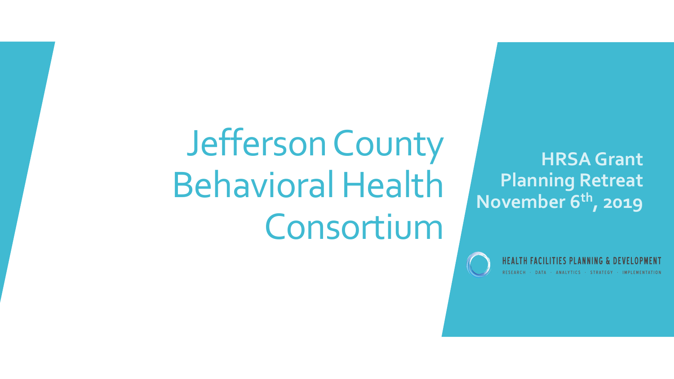## Jefferson County Behavioral Health Consortium

**HRSA Grant Planning Retreat November 6th, 2019**



DATA · ANALYTICS · STRATEGY · IMPLEMENTATION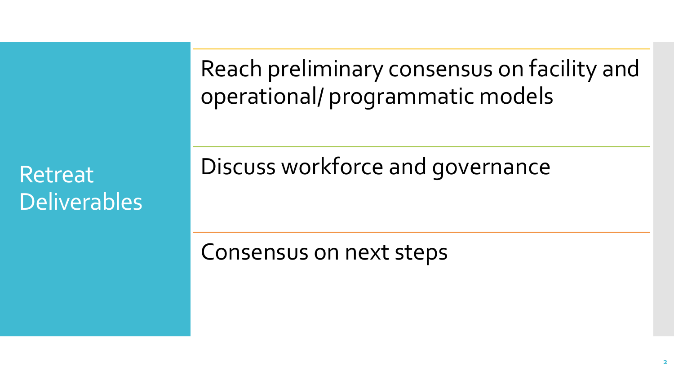Retreat Deliverables Reach preliminary consensus on facility and operational/ programmatic models

Discuss workforce and governance

Consensus on next steps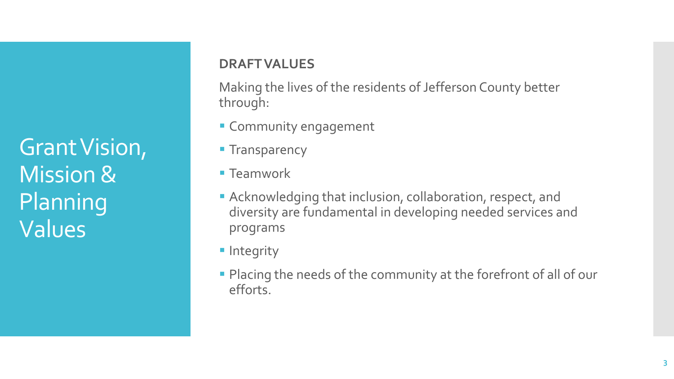Grant Vision, Mission & Planning Values

#### **DRAFT VALUES**

Making the lives of the residents of Jefferson County better through:

- **Example 1 Community engagement**
- **Transparency**
- Teamwork
- **EXALLET And Acknowledging that inclusion, collaboration, respect, and** diversity are fundamental in developing needed services and programs
- **·** Integrity
- **Placing the needs of the community at the forefront of all of our** efforts.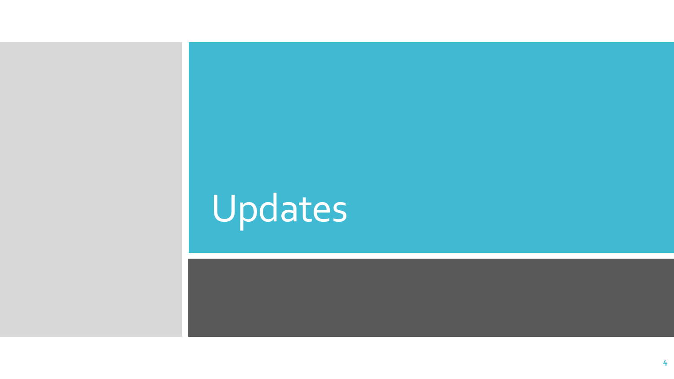# Updates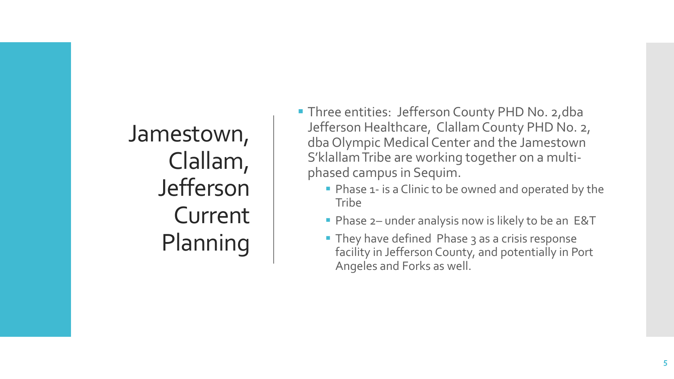Jamestown, Clallam, Jefferson Current Planning

- **Three entities: Jefferson County PHD No. 2, dba** Jefferson Healthcare, Clallam County PHD No. 2, dba Olympic Medical Center and the Jamestown S'klallamTribe are working together on a multiphased campus in Sequim.
	- **Phase 1- is a Clinic to be owned and operated by the Tribe**
	- **Phase 2– under analysis now is likely to be an E&T**
	- **They have defined Phase 3 as a crisis response** facility in Jefferson County, and potentially in Port Angeles and Forks as well.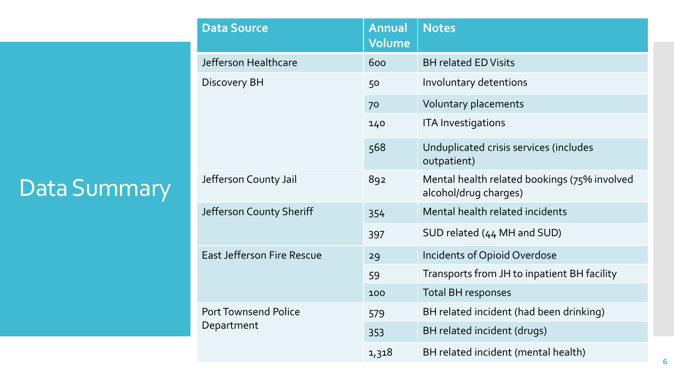### Data Summary

| <b>Data Source</b>                        | <b>Annual</b><br>Volume | <b>Notes</b>                                                          |
|-------------------------------------------|-------------------------|-----------------------------------------------------------------------|
| Jefferson Healthcare                      | 600                     | <b>BH related ED Visits</b>                                           |
| <b>Discovery BH</b>                       | 50                      | Involuntary detentions                                                |
|                                           | 70                      | Voluntary placements                                                  |
|                                           | 140                     | <b>ITA Investigations</b>                                             |
|                                           | 568                     | Unduplicated crisis services (includes<br>outpatient)                 |
| Jefferson County Jail                     | 892                     | Mental health related bookings (75% involved<br>alcohol/drug charges) |
| Jefferson County Sheriff                  | 354                     | Mental health related incidents                                       |
|                                           | 397                     | SUD related (44 MH and SUD)                                           |
| <b>East Jefferson Fire Rescue</b>         | 29                      | <b>Incidents of Opioid Overdose</b>                                   |
|                                           | 59                      | Transports from JH to inpatient BH facility                           |
|                                           | 100                     | <b>Total BH responses</b>                                             |
| <b>Port Townsend Police</b><br>Department | 579                     | BH related incident (had been drinking)                               |
|                                           | 353                     | BH related incident (drugs)                                           |
|                                           | 1,318                   | BH related incident (mental health)                                   |
|                                           |                         |                                                                       |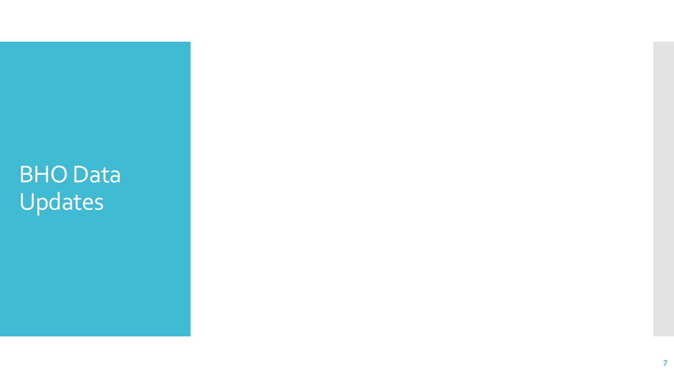BHO Data Updates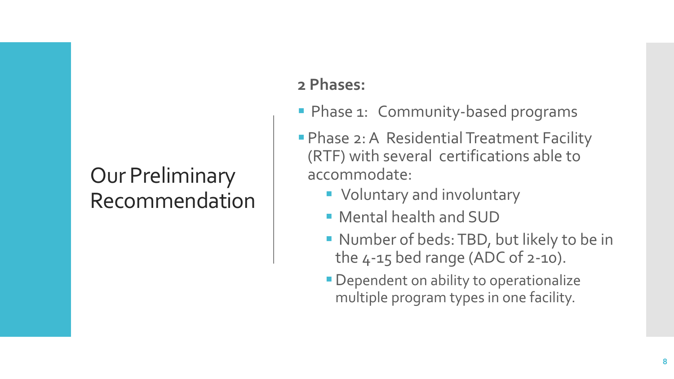### Our Preliminary Recommendation

### **2 Phases:**

- **Phase 1: Community-based programs**
- **Phase 2: A Residential Treatment Facility** (RTF) with several certifications able to accommodate:
	- Voluntary and involuntary
	- **Mental health and SUD**
	- Number of beds: TBD, but likely to be in the 4-15 bed range (ADC of 2-10).
	- **Dependent on ability to operationalize** multiple program types in one facility.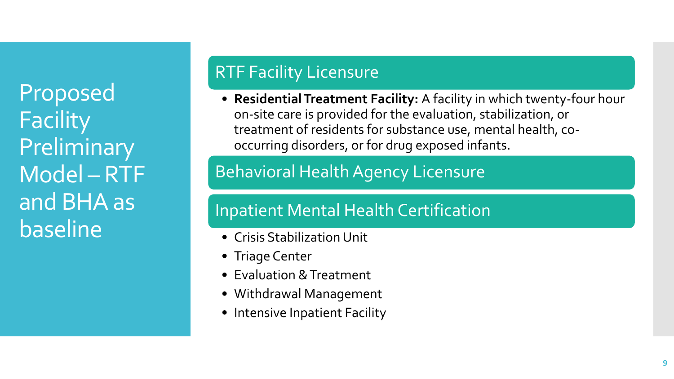Proposed **Facility** Preliminary Model – RTF and BHA as baseline

### RTF Facility Licensure

• **Residential Treatment Facility:** A facility in which twenty-four hour on-site care is provided for the evaluation, stabilization, or treatment of residents for substance use, mental health, cooccurring disorders, or for drug exposed infants.

### Behavioral Health Agency Licensure

### Inpatient Mental Health Certification

- Crisis Stabilization Unit
- Triage Center
- Evaluation & Treatment
- Withdrawal Management
- Intensive Inpatient Facility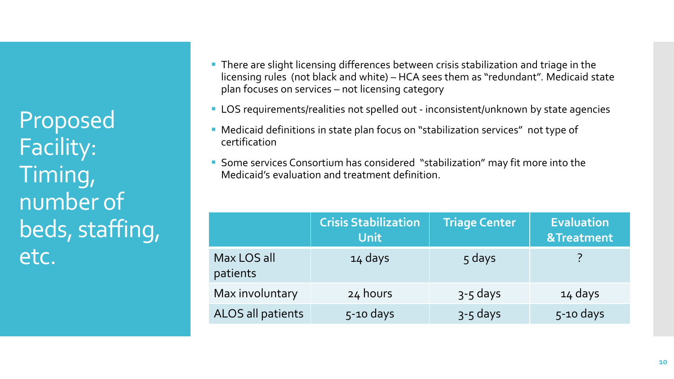Proposed Facility: Timing, number of beds, staffing, etc.

- **There are slight licensing differences between crisis stabilization and triage in the** licensing rules (not black and white) – HCA sees them as "redundant". Medicaid state plan focuses on services – not licensing category
- LOS requirements/realities not spelled out inconsistent/unknown by state agencies
- Medicaid definitions in state plan focus on "stabilization services" not type of certification
- **Some services Consortium has considered "stabilization" may fit more into the** Medicaid's evaluation and treatment definition.

|                         | <b>Crisis Stabilization</b><br><b>Unit</b> | <b>Triage Center</b> | <b>Evaluation</b><br>&Treatment |
|-------------------------|--------------------------------------------|----------------------|---------------------------------|
| Max LOS all<br>patients | 14 days                                    | 5 days               |                                 |
| Max involuntary         | 24 hours                                   | $3-5$ days           | 14 days                         |
| ALOS all patients       | $5-10$ days                                | $3 - 5$ days         | $5-10$ days                     |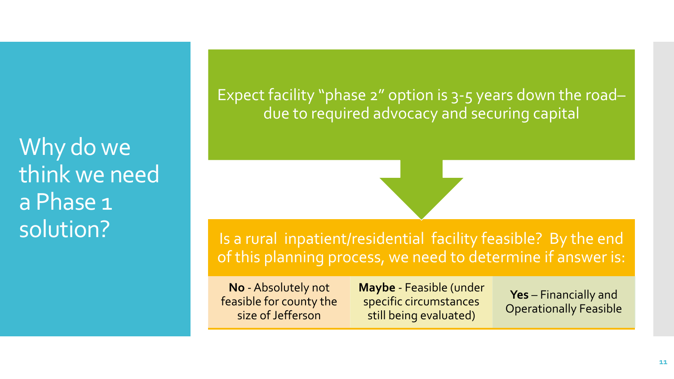Why do we think we need a Phase 1 solution?

Expect facility "phase 2" option is 3-5 years down the road– due to required advocacy and securing capital

Is a rural inpatient/residential facility feasible? By the end of this planning process, we need to determine if answer is:

**No** -Absolutely not feasible for county the size of Jefferson

**Maybe** - Feasible (under specific circumstances still being evaluated)

**Yes** – Financially and Operationally Feasible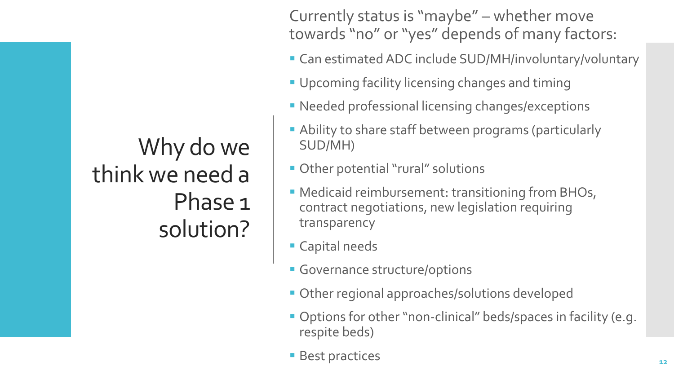### Why do we think we need a Phase 1 solution?

Currently status is "maybe" – whether move towards "no" or "yes" depends of many factors:

- **EXECT:** Can estimated ADC include SUD/MH/involuntary/voluntary
- **Upcoming facility licensing changes and timing**
- **EXECTE Professional licensing changes/exceptions**
- **Ability to share staff between programs (particularly** SUD/MH)
- **Other potential "rural" solutions**
- **EXECT:** Medicaid reimbursement: transitioning from BHOs, contract negotiations, new legislation requiring transparency
- **E** Capital needs
- **Governance structure/options**
- **Other regional approaches/solutions developed**
- Options for other "non-clinical" beds/spaces in facility (e.g. respite beds)
- Best practices **12**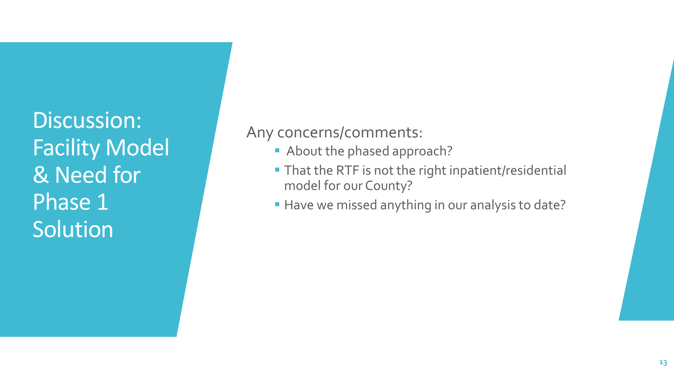Discussion: Facility Model & Need for Phase 1 Solution

#### Any concerns/comments:

- About the phased approach?
- **That the RTF is not the right inpatient/residential** model for our County?
- **.** Have we missed anything in our analysis to date?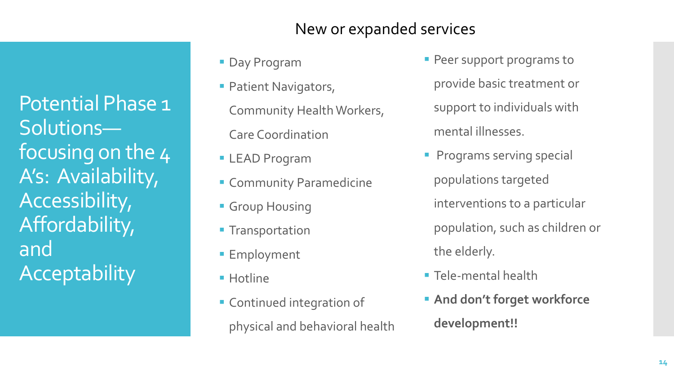Potential Phase 1 Solutions focusing on the 4 A's: Availability, Accessibility, Affordability, and **Acceptability** 

#### New or expanded services

- **Day Program**
- **Patient Navigators,** Community Health Workers, Care Coordination
- **ELEAD Program**
- **Exercise** Community Paramedicine
- **Group Housing**
- **Transportation**
- **Employment**
- Hotline
- **EX Continued integration of** physical and behavioral health
- **Peer support programs to** provide basic treatment or support to individuals with mental illnesses.
- **Programs serving special** populations targeted interventions to a particular population, such as children or the elderly.
- **Tele-mental health**
- **EXALGE And don't forget workforce development!!**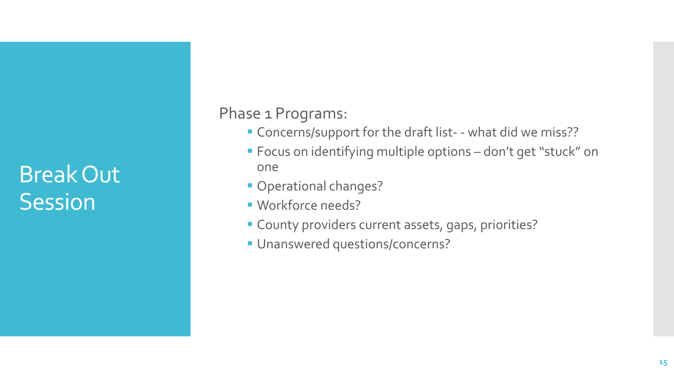### Break Out **Session**

Phase 1 Programs:

- Concerns/support for the draft list- what did we miss??
- Focus on identifying multiple options don't get "stuck" on one
- **Operational changes?**
- **· Workforce needs?**
- **EX County providers current assets, gaps, priorities?**
- **Unanswered questions/concerns?**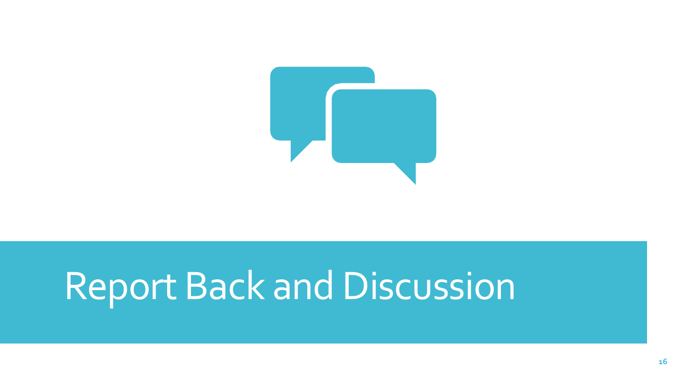

## Report Back and Discussion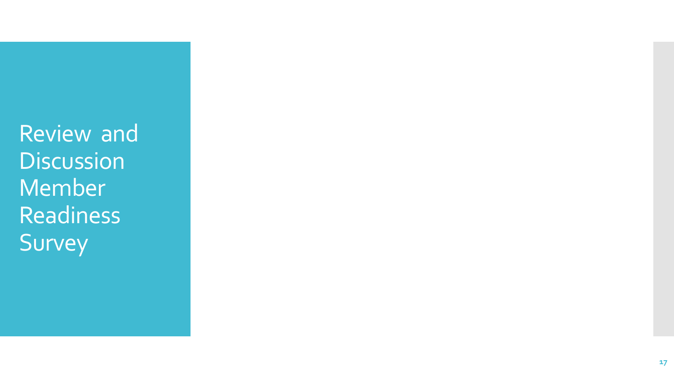Review and **Discussion** Member Readiness Survey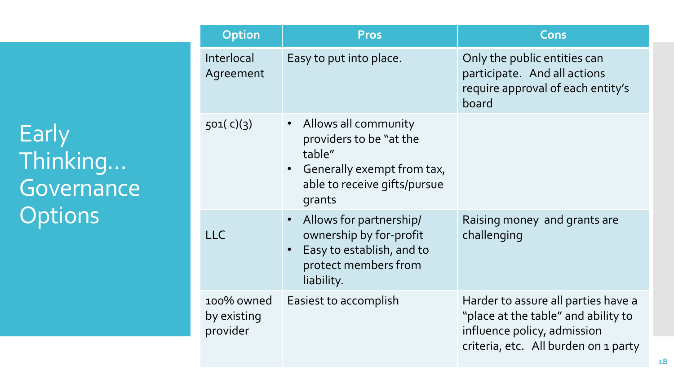**Early** Thinking… **Governance Options** 

| <b>Option</b>                         | <b>Pros</b>                                                                                                                                      | Cons                                                                                                                                              |
|---------------------------------------|--------------------------------------------------------------------------------------------------------------------------------------------------|---------------------------------------------------------------------------------------------------------------------------------------------------|
| Interlocal<br>Agreement               | Easy to put into place.                                                                                                                          | Only the public entities can<br>participate. And all actions<br>require approval of each entity's<br>board                                        |
| 501(c)(3)                             | Allows all community<br>$\bullet$<br>providers to be "at the<br>table"<br>• Generally exempt from tax,<br>able to receive gifts/pursue<br>grants |                                                                                                                                                   |
| <b>LLC</b>                            | Allows for partnership/<br>ownership by for-profit<br>Easy to establish, and to<br>protect members from<br>liability.                            | Raising money and grants are<br>challenging                                                                                                       |
| 100% owned<br>by existing<br>provider | Easiest to accomplish                                                                                                                            | Harder to assure all parties have a<br>"place at the table" and ability to<br>influence policy, admission<br>criteria, etc. All burden on 1 party |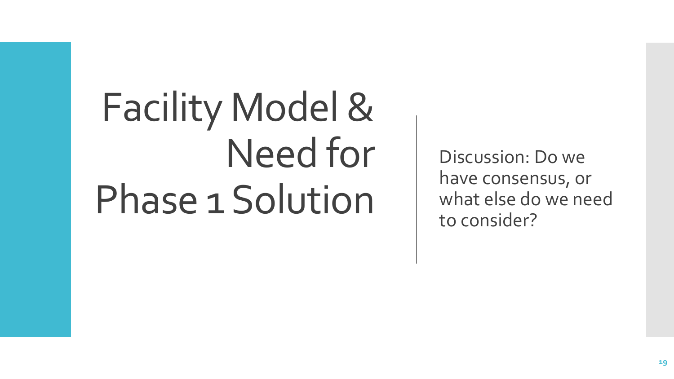# Facility Model & Need for Phase 1 Solution

Discussion: Do we have consensus, or what else do we need to consider?